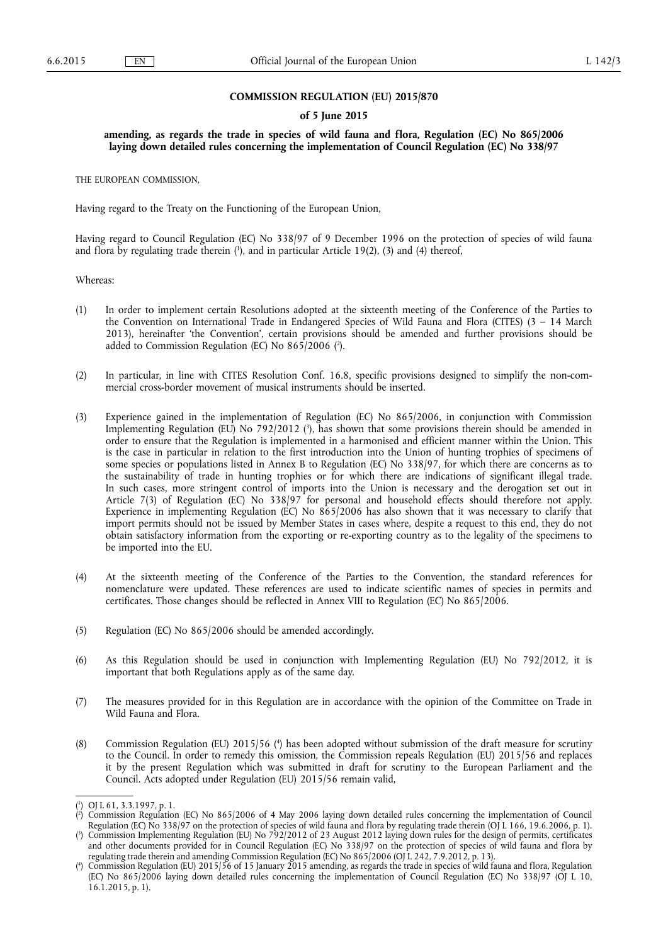# **COMMISSION REGULATION (EU) 2015/870**

# **of 5 June 2015**

**amending, as regards the trade in species of wild fauna and flora, Regulation (EC) No 865/2006 laying down detailed rules concerning the implementation of Council Regulation (EC) No 338/97** 

THE EUROPEAN COMMISSION,

Having regard to the Treaty on the Functioning of the European Union,

Having regard to Council Regulation (EC) No 338/97 of 9 December 1996 on the protection of species of wild fauna and flora by regulating trade therein (1), and in particular Article 19(2), (3) and (4) thereof,

Whereas:

- (1) In order to implement certain Resolutions adopted at the sixteenth meeting of the Conference of the Parties to the Convention on International Trade in Endangered Species of Wild Fauna and Flora (CITES) (3 – 14 March 2013), hereinafter 'the Convention', certain provisions should be amended and further provisions should be added to Commission Regulation (EC) No 865/2006 ( 2 ).
- (2) In particular, in line with CITES Resolution Conf. 16.8, specific provisions designed to simplify the non-commercial cross-border movement of musical instruments should be inserted.
- (3) Experience gained in the implementation of Regulation (EC) No 865/2006, in conjunction with Commission Implementing Regulation (EU) No 792/2012 ( 3 ), has shown that some provisions therein should be amended in order to ensure that the Regulation is implemented in a harmonised and efficient manner within the Union. This is the case in particular in relation to the first introduction into the Union of hunting trophies of specimens of some species or populations listed in Annex B to Regulation (EC) No 338/97, for which there are concerns as to the sustainability of trade in hunting trophies or for which there are indications of significant illegal trade. In such cases, more stringent control of imports into the Union is necessary and the derogation set out in Article 7(3) of Regulation (EC) No 338/97 for personal and household effects should therefore not apply. Experience in implementing Regulation (EC) No 865/2006 has also shown that it was necessary to clarify that import permits should not be issued by Member States in cases where, despite a request to this end, they do not obtain satisfactory information from the exporting or re-exporting country as to the legality of the specimens to be imported into the EU.
- (4) At the sixteenth meeting of the Conference of the Parties to the Convention, the standard references for nomenclature were updated. These references are used to indicate scientific names of species in permits and certificates. Those changes should be reflected in Annex VIII to Regulation (EC) No 865/2006.
- (5) Regulation (EC) No 865/2006 should be amended accordingly.
- (6) As this Regulation should be used in conjunction with Implementing Regulation (EU) No 792/2012, it is important that both Regulations apply as of the same day.
- (7) The measures provided for in this Regulation are in accordance with the opinion of the Committee on Trade in Wild Fauna and Flora.
- (8) Commission Regulation (EU) 2015/56 ( 4 ) has been adopted without submission of the draft measure for scrutiny to the Council. In order to remedy this omission, the Commission repeals Regulation (EU) 2015/56 and replaces it by the present Regulation which was submitted in draft for scrutiny to the European Parliament and the Council. Acts adopted under Regulation (EU) 2015/56 remain valid,

<sup>(</sup> 1 ) OJ L 61, 3.3.1997, p. 1.

<sup>(</sup> 2 ) Commission Regulation (EC) No 865/2006 of 4 May 2006 laying down detailed rules concerning the implementation of Council Regulation (EC) No 338/97 on the protection of species of wild fauna and flora by regulating trade therein (OJ L 166, 19.6.2006, p. 1).

<sup>(</sup> 3 ) Commission Implementing Regulation (EU) No 792/2012 of 23 August 2012 laying down rules for the design of permits, certificates and other documents provided for in Council Regulation (EC) No 338/97 on the protection of species of wild fauna and flora by regulating trade therein and amending Commission Regulation (EC) No 865/2006 (OJ L 242, 7.9.2012, p. 13).

<sup>(</sup> 4 ) Commission Regulation (EU) 2015/56 of 15 January 2015 amending, as regards the trade in species of wild fauna and flora, Regulation (EC) No 865/2006 laying down detailed rules concerning the implementation of Council Regulation (EC) No 338/97 (OJ L 10, 16.1.2015, p. 1).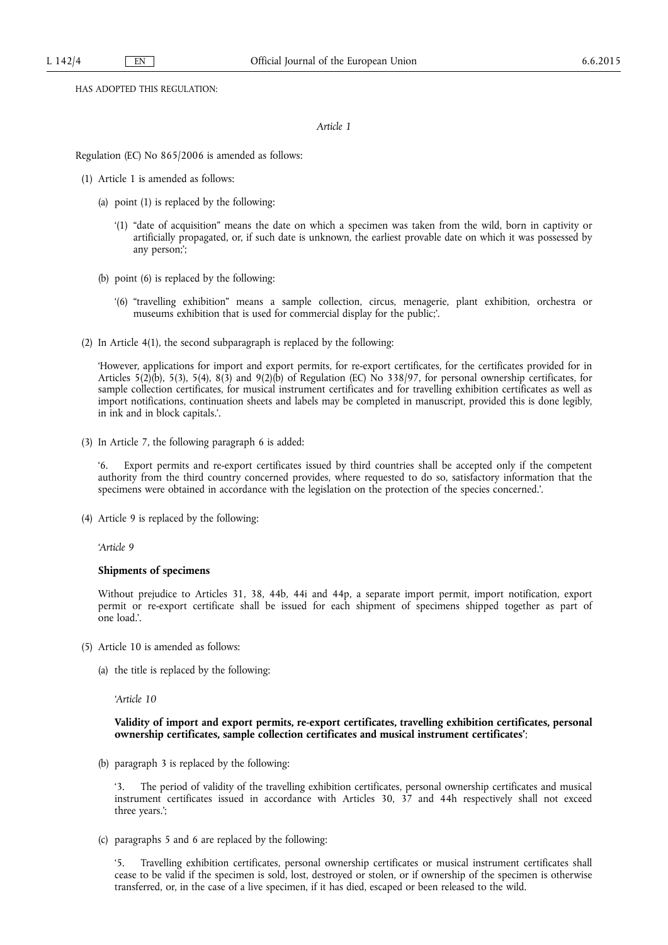HAS ADOPTED THIS REGULATION:

*Article 1* 

Regulation (EC) No 865/2006 is amended as follows:

- (1) Article 1 is amended as follows:
	- (a) point (1) is replaced by the following:
		- '(1) "date of acquisition" means the date on which a specimen was taken from the wild, born in captivity or artificially propagated, or, if such date is unknown, the earliest provable date on which it was possessed by any person;';
	- (b) point (6) is replaced by the following:
		- '(6) "travelling exhibition" means a sample collection, circus, menagerie, plant exhibition, orchestra or museums exhibition that is used for commercial display for the public;'.
- (2) In Article 4(1), the second subparagraph is replaced by the following:

'However, applications for import and export permits, for re-export certificates, for the certificates provided for in Articles 5(2)(b), 5(3), 5(4), 8(3) and 9(2)(b) of Regulation (EC) No 338/97, for personal ownership certificates, for sample collection certificates, for musical instrument certificates and for travelling exhibition certificates as well as import notifications, continuation sheets and labels may be completed in manuscript, provided this is done legibly, in ink and in block capitals.'.

(3) In Article 7, the following paragraph 6 is added:

Export permits and re-export certificates issued by third countries shall be accepted only if the competent authority from the third country concerned provides, where requested to do so, satisfactory information that the specimens were obtained in accordance with the legislation on the protection of the species concerned.'.

(4) Article 9 is replaced by the following:

*'Article 9* 

## **Shipments of specimens**

Without prejudice to Articles 31, 38, 44b, 44i and 44p, a separate import permit, import notification, export permit or re-export certificate shall be issued for each shipment of specimens shipped together as part of one load.'.

- (5) Article 10 is amended as follows:
	- (a) the title is replaced by the following:

*'Article 10* 

**Validity of import and export permits, re-export certificates, travelling exhibition certificates, personal ownership certificates, sample collection certificates and musical instrument certificates'**;

(b) paragraph 3 is replaced by the following:

The period of validity of the travelling exhibition certificates, personal ownership certificates and musical instrument certificates issued in accordance with Articles 30, 37 and 44h respectively shall not exceed three years.';

(c) paragraphs 5 and 6 are replaced by the following:

'5. Travelling exhibition certificates, personal ownership certificates or musical instrument certificates shall cease to be valid if the specimen is sold, lost, destroyed or stolen, or if ownership of the specimen is otherwise transferred, or, in the case of a live specimen, if it has died, escaped or been released to the wild.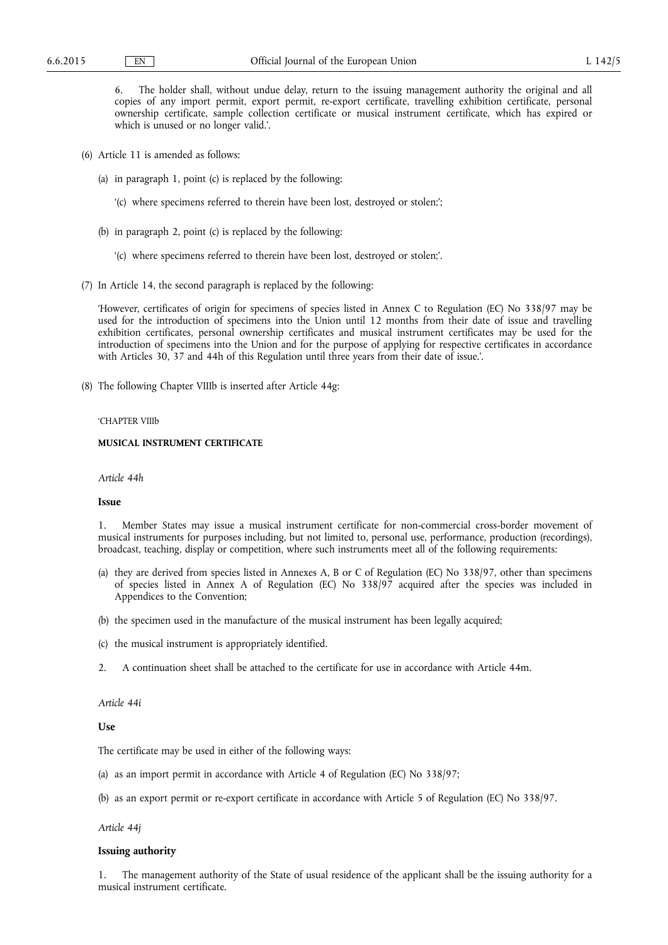6. The holder shall, without undue delay, return to the issuing management authority the original and all copies of any import permit, export permit, re-export certificate, travelling exhibition certificate, personal ownership certificate, sample collection certificate or musical instrument certificate, which has expired or which is unused or no longer valid.'.

- (6) Article 11 is amended as follows:
	- (a) in paragraph 1, point (c) is replaced by the following:
		- '(c) where specimens referred to therein have been lost, destroyed or stolen;';
	- (b) in paragraph 2, point (c) is replaced by the following:
		- '(c) where specimens referred to therein have been lost, destroyed or stolen;'.
- (7) In Article 14, the second paragraph is replaced by the following:

'However, certificates of origin for specimens of species listed in Annex C to Regulation (EC) No 338/97 may be used for the introduction of specimens into the Union until 12 months from their date of issue and travelling exhibition certificates, personal ownership certificates and musical instrument certificates may be used for the introduction of specimens into the Union and for the purpose of applying for respective certificates in accordance with Articles 30, 37 and 44h of this Regulation until three years from their date of issue.'.

(8) The following Chapter VIIIb is inserted after Article 44g:

#### 'CHAPTER VIIIb

# **MUSICAL INSTRUMENT CERTIFICATE**

*Article 44h* 

# **Issue**

1. Member States may issue a musical instrument certificate for non-commercial cross-border movement of musical instruments for purposes including, but not limited to, personal use, performance, production (recordings), broadcast, teaching, display or competition, where such instruments meet all of the following requirements:

- (a) they are derived from species listed in Annexes A, B or C of Regulation (EC) No 338/97, other than specimens of species listed in Annex A of Regulation (EC) No 338/97 acquired after the species was included in Appendices to the Convention;
- (b) the specimen used in the manufacture of the musical instrument has been legally acquired;
- (c) the musical instrument is appropriately identified.
- 2. A continuation sheet shall be attached to the certificate for use in accordance with Article 44m.

*Article 44i* 

**Use** 

The certificate may be used in either of the following ways:

- (a) as an import permit in accordance with Article 4 of Regulation (EC) No 338/97;
- (b) as an export permit or re-export certificate in accordance with Article 5 of Regulation (EC) No 338/97.

*Article 44j* 

# **Issuing authority**

1. The management authority of the State of usual residence of the applicant shall be the issuing authority for a musical instrument certificate.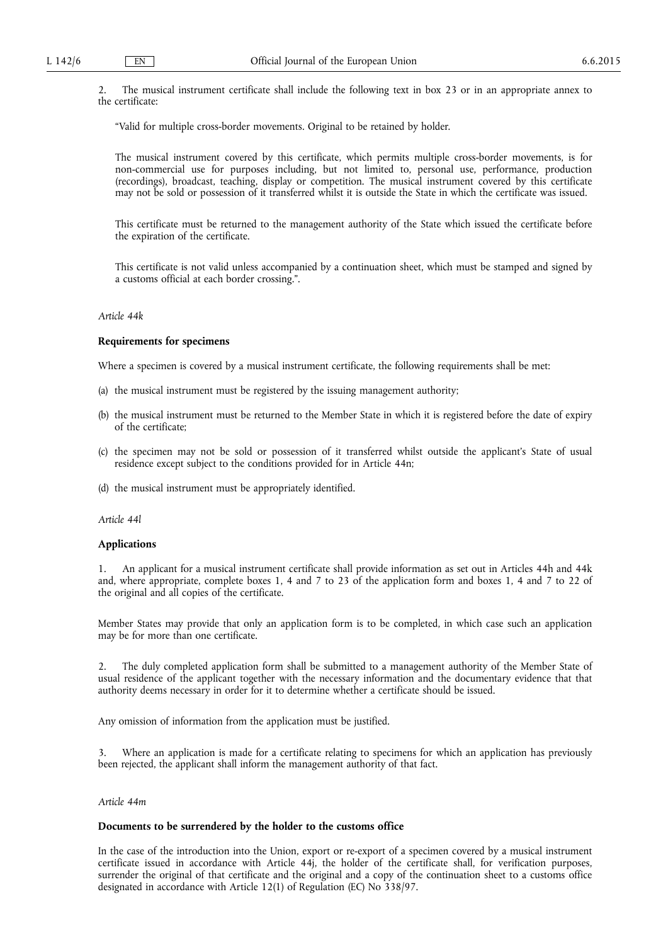2. The musical instrument certificate shall include the following text in box 23 or in an appropriate annex to the certificate:

"Valid for multiple cross-border movements. Original to be retained by holder.

The musical instrument covered by this certificate, which permits multiple cross-border movements, is for non-commercial use for purposes including, but not limited to, personal use, performance, production (recordings), broadcast, teaching, display or competition. The musical instrument covered by this certificate may not be sold or possession of it transferred whilst it is outside the State in which the certificate was issued.

This certificate must be returned to the management authority of the State which issued the certificate before the expiration of the certificate.

This certificate is not valid unless accompanied by a continuation sheet, which must be stamped and signed by a customs official at each border crossing.".

# *Article 44k*

## **Requirements for specimens**

Where a specimen is covered by a musical instrument certificate, the following requirements shall be met:

- (a) the musical instrument must be registered by the issuing management authority;
- (b) the musical instrument must be returned to the Member State in which it is registered before the date of expiry of the certificate;
- (c) the specimen may not be sold or possession of it transferred whilst outside the applicant's State of usual residence except subject to the conditions provided for in Article 44n;
- (d) the musical instrument must be appropriately identified.

*Article 44l* 

## **Applications**

1. An applicant for a musical instrument certificate shall provide information as set out in Articles 44h and 44k and, where appropriate, complete boxes 1, 4 and 7 to 23 of the application form and boxes 1, 4 and 7 to 22 of the original and all copies of the certificate.

Member States may provide that only an application form is to be completed, in which case such an application may be for more than one certificate.

2. The duly completed application form shall be submitted to a management authority of the Member State of usual residence of the applicant together with the necessary information and the documentary evidence that that authority deems necessary in order for it to determine whether a certificate should be issued.

Any omission of information from the application must be justified.

Where an application is made for a certificate relating to specimens for which an application has previously been rejected, the applicant shall inform the management authority of that fact.

## *Article 44m*

## **Documents to be surrendered by the holder to the customs office**

In the case of the introduction into the Union, export or re-export of a specimen covered by a musical instrument certificate issued in accordance with Article 44j, the holder of the certificate shall, for verification purposes, surrender the original of that certificate and the original and a copy of the continuation sheet to a customs office designated in accordance with Article 12(1) of Regulation (EC) No 338/97.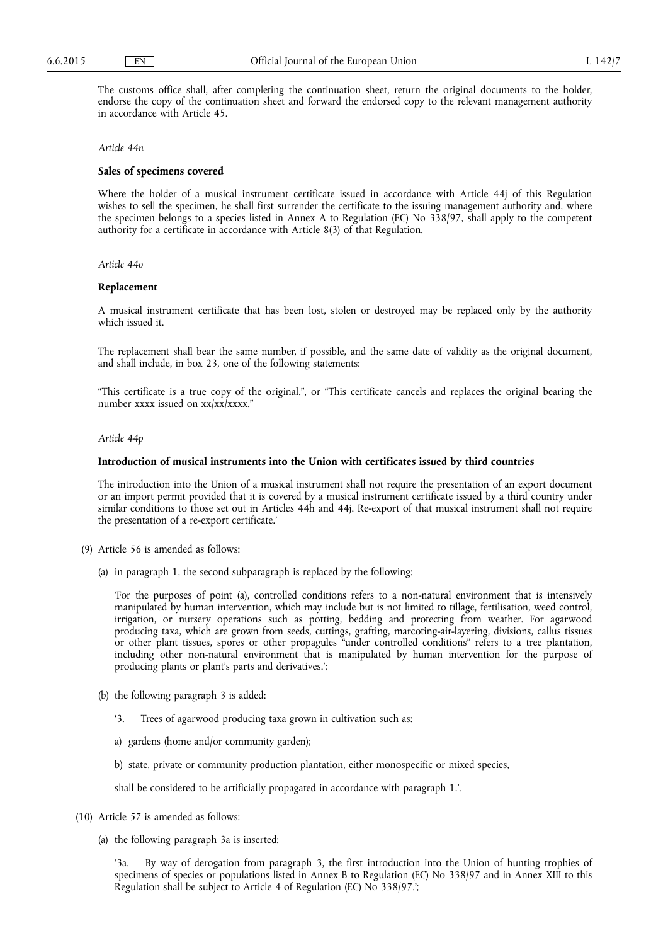The customs office shall, after completing the continuation sheet, return the original documents to the holder, endorse the copy of the continuation sheet and forward the endorsed copy to the relevant management authority in accordance with Article 45.

### *Article 44n*

## **Sales of specimens covered**

Where the holder of a musical instrument certificate issued in accordance with Article 44j of this Regulation wishes to sell the specimen, he shall first surrender the certificate to the issuing management authority and, where the specimen belongs to a species listed in Annex A to Regulation (EC) No 338/97, shall apply to the competent authority for a certificate in accordance with Article 8(3) of that Regulation.

*Article 44o* 

# **Replacement**

A musical instrument certificate that has been lost, stolen or destroyed may be replaced only by the authority which issued it.

The replacement shall bear the same number, if possible, and the same date of validity as the original document, and shall include, in box 23, one of the following statements:

"This certificate is a true copy of the original.", or "This certificate cancels and replaces the original bearing the number xxxx issued on xx/xx/xxxx."

## *Article 44p*

## **Introduction of musical instruments into the Union with certificates issued by third countries**

The introduction into the Union of a musical instrument shall not require the presentation of an export document or an import permit provided that it is covered by a musical instrument certificate issued by a third country under similar conditions to those set out in Articles 44h and 44j. Re-export of that musical instrument shall not require the presentation of a re-export certificate.'

- (9) Article 56 is amended as follows:
	- (a) in paragraph 1, the second subparagraph is replaced by the following:

'For the purposes of point (a), controlled conditions refers to a non-natural environment that is intensively manipulated by human intervention, which may include but is not limited to tillage, fertilisation, weed control, irrigation, or nursery operations such as potting, bedding and protecting from weather. For agarwood producing taxa, which are grown from seeds, cuttings, grafting, marcoting-air-layering, divisions, callus tissues or other plant tissues, spores or other propagules "under controlled conditions" refers to a tree plantation, including other non-natural environment that is manipulated by human intervention for the purpose of producing plants or plant's parts and derivatives.';

- (b) the following paragraph 3 is added:
	- '3. Trees of agarwood producing taxa grown in cultivation such as:
	- a) gardens (home and/or community garden);
	- b) state, private or community production plantation, either monospecific or mixed species,

shall be considered to be artificially propagated in accordance with paragraph 1.'.

- (10) Article 57 is amended as follows:
	- (a) the following paragraph 3a is inserted:

'3a. By way of derogation from paragraph 3, the first introduction into the Union of hunting trophies of specimens of species or populations listed in Annex B to Regulation (EC) No 338/97 and in Annex XIII to this Regulation shall be subject to Article 4 of Regulation (EC) No 338/97.';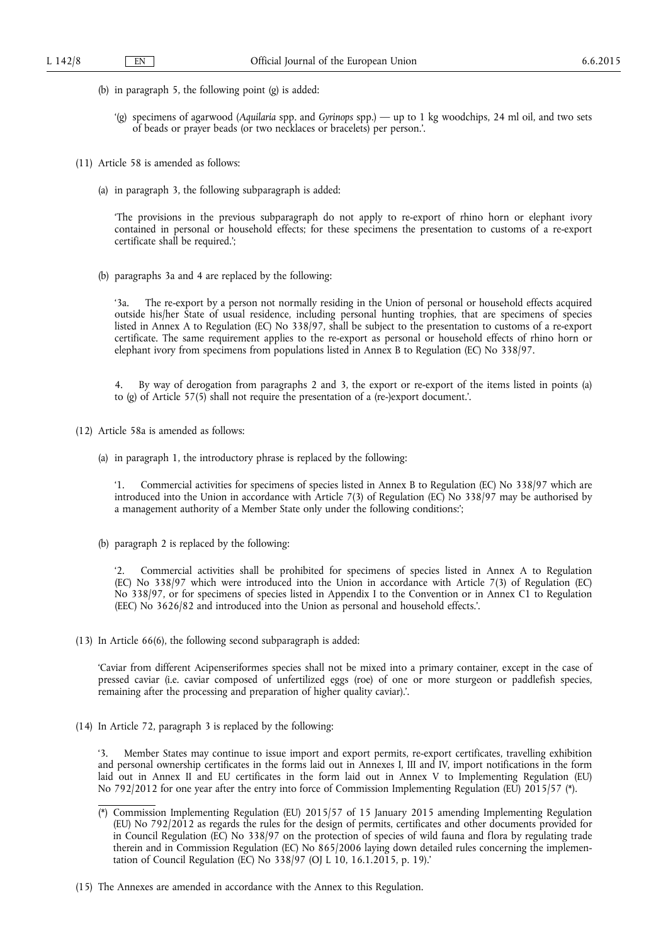- (b) in paragraph 5, the following point (g) is added:
	- '(g) specimens of agarwood (*Aquilaria* spp. and *Gyrinops* spp.) up to 1 kg woodchips, 24 ml oil, and two sets of beads or prayer beads (or two necklaces or bracelets) per person.'.
- (11) Article 58 is amended as follows:
	- (a) in paragraph 3, the following subparagraph is added:

'The provisions in the previous subparagraph do not apply to re-export of rhino horn or elephant ivory contained in personal or household effects; for these specimens the presentation to customs of a re-export certificate shall be required.';

(b) paragraphs 3a and 4 are replaced by the following:

'3a. The re-export by a person not normally residing in the Union of personal or household effects acquired outside his/her State of usual residence, including personal hunting trophies, that are specimens of species listed in Annex A to Regulation (EC) No 338/97, shall be subject to the presentation to customs of a re-export certificate. The same requirement applies to the re-export as personal or household effects of rhino horn or elephant ivory from specimens from populations listed in Annex B to Regulation (EC) No 338/97.

4. By way of derogation from paragraphs 2 and 3, the export or re-export of the items listed in points (a) to (g) of Article 57(5) shall not require the presentation of a (re-)export document.'.

- (12) Article 58a is amended as follows:
	- (a) in paragraph 1, the introductory phrase is replaced by the following:

'1. Commercial activities for specimens of species listed in Annex B to Regulation (EC) No 338/97 which are introduced into the Union in accordance with Article 7(3) of Regulation (EC) No 338/97 may be authorised by a management authority of a Member State only under the following conditions:';

(b) paragraph 2 is replaced by the following:

'2. Commercial activities shall be prohibited for specimens of species listed in Annex A to Regulation (EC) No 338/97 which were introduced into the Union in accordance with Article 7(3) of Regulation (EC) No 338/97, or for specimens of species listed in Appendix I to the Convention or in Annex C1 to Regulation (EEC) No 3626/82 and introduced into the Union as personal and household effects.'.

(13) In Article 66(6), the following second subparagraph is added:

'Caviar from different Acipenseriformes species shall not be mixed into a primary container, except in the case of pressed caviar (i.e. caviar composed of unfertilized eggs (roe) of one or more sturgeon or paddlefish species, remaining after the processing and preparation of higher quality caviar).'.

(14) In Article 72, paragraph 3 is replaced by the following:

'3. Member States may continue to issue import and export permits, re-export certificates, travelling exhibition and personal ownership certificates in the forms laid out in Annexes I, III and IV, import notifications in the form laid out in Annex II and EU certificates in the form laid out in Annex V to Implementing Regulation (EU) No 792/2012 for one year after the entry into force of Commission Implementing Regulation (EU) 2015/57 (\*).

<sup>(\*)</sup> Commission Implementing Regulation (EU) 2015/57 of 15 January 2015 amending Implementing Regulation (EU) No 792/2012 as regards the rules for the design of permits, certificates and other documents provided for in Council Regulation (EC) No 338/97 on the protection of species of wild fauna and flora by regulating trade therein and in Commission Regulation (EC) No 865/2006 laying down detailed rules concerning the implementation of Council Regulation (EC) No 338/97 (OJ L 10, 16.1.2015, p. 19).'

<sup>(15)</sup> The Annexes are amended in accordance with the Annex to this Regulation.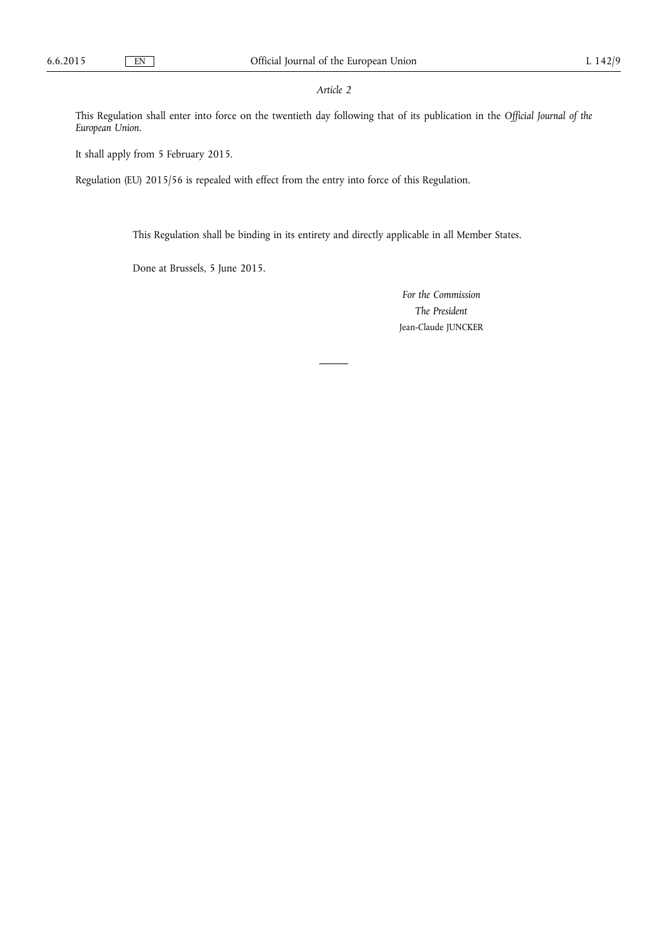# *Article 2*

This Regulation shall enter into force on the twentieth day following that of its publication in the *Official Journal of the European Union*.

It shall apply from 5 February 2015.

Regulation (EU) 2015/56 is repealed with effect from the entry into force of this Regulation.

This Regulation shall be binding in its entirety and directly applicable in all Member States.

Done at Brussels, 5 June 2015.

*For the Commission The President*  Jean-Claude JUNCKER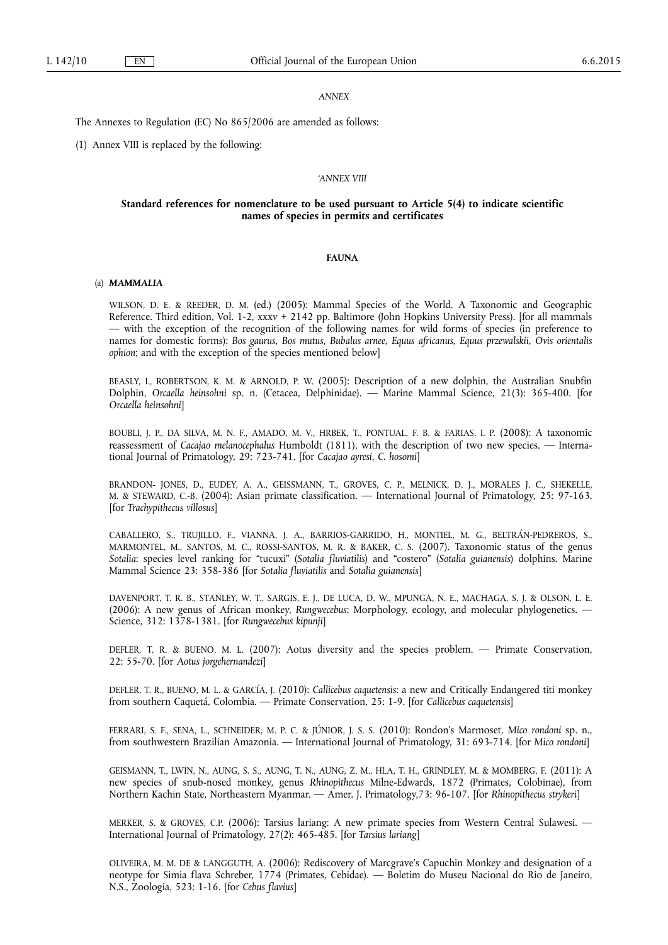#### *ANNEX*

The Annexes to Regulation (EC) No 865/2006 are amended as follows:

(1) Annex VIII is replaced by the following:

### *'ANNEX VIII*

# **Standard references for nomenclature to be used pursuant to Article 5(4) to indicate scientific names of species in permits and certificates**

# **FAUNA**

## (a) *MAMMALIA*

WILSON, D. E. & REEDER, D. M. (ed.) (2005): Mammal Species of the World. A Taxonomic and Geographic Reference. Third edition, Vol. 1-2, xxxv + 2142 pp. Baltimore (John Hopkins University Press). [for all mammals — with the exception of the recognition of the following names for wild forms of species (in preference to names for domestic forms): *Bos gaurus, Bos mutus, Bubalus arnee, Equus africanus, Equus przewalskii, Ovis orientalis ophion*; and with the exception of the species mentioned below]

BEASLY, I., ROBERTSON, K. M. & ARNOLD, P. W. (2005): Description of a new dolphin, the Australian Snubfin Dolphin, *Orcaella heinsohni* sp. n. (Cetacea, Delphinidae). — Marine Mammal Science, 21(3): 365-400. [for *Orcaella heinsohni*]

BOUBLI, J. P., DA SILVA, M. N. F., AMADO, M. V., HRBEK, T., PONTUAL, F. B. & FARIAS, I. P. (2008): A taxonomic reassessment of *Cacajao melanocephalus* Humboldt (1811), with the description of two new species. — International Journal of Primatology, 29: 723-741. [for *Cacajao ayresi, C. hosomi*]

BRANDON- JONES, D., EUDEY, A. A., GEISSMANN, T., GROVES, C. P., MELNICK, D. J., MORALES J. C., SHEKELLE, M. & STEWARD, C.-B. (2004): Asian primate classification. — International Journal of Primatology, 25: 97-163. [for *Trachypithecus villosus*]

CABALLERO, S., TRUJILLO, F., VIANNA, J. A., BARRIOS-GARRIDO, H., MONTIEL, M. G., BELTRÁN-PEDREROS, S., MARMONTEL, M., SANTOS, M. C., ROSSI-SANTOS, M. R. & BAKER, C. S. (2007). Taxonomic status of the genus *Sotalia*: species level ranking for "tucuxi" (*Sotalia fluviatilis*) and "costero" (*Sotalia guianensis*) dolphins. Marine Mammal Science 23: 358-386 [for *Sotalia fluviatilis* and *Sotalia guianensis*]

DAVENPORT, T. R. B., STANLEY, W. T., SARGIS, E. J., DE LUCA, D. W., MPUNGA, N. E., MACHAGA, S. J. & OLSON, L. E. (2006): A new genus of African monkey, *Rungwecebus*: Morphology, ecology, and molecular phylogenetics. — Science, 312: 1378-1381. [for *Rungwecebus kipunji*]

DEFLER, T. R. & BUENO, M. L. (2007): Aotus diversity and the species problem. — Primate Conservation, 22: 55-70. [for *Aotus jorgehernandezi*]

DEFLER, T. R., BUENO, M. L. & GARCÍA, J. (2010): *Callicebus caquetensis*: a new and Critically Endangered titi monkey from southern Caquetá, Colombia. — Primate Conservation, 25: 1-9. [for *Callicebus caquetensis*]

FERRARI, S. F., SENA, L., SCHNEIDER, M. P. C. & JÚNIOR, J. S. S. (2010): Rondon's Marmoset, *Mico rondoni* sp. n., from southwestern Brazilian Amazonia. — International Journal of Primatology, 31: 693-714. [for *Mico rondoni*]

GEISMANN, T., LWIN, N., AUNG, S. S., AUNG, T. N., AUNG, Z. M., HLA, T. H., GRINDLEY, M. & MOMBERG, F. (2011): A new species of snub-nosed monkey, genus *Rhinopithecus* Milne-Edwards, 1872 (Primates, Colobinae), from Northern Kachin State, Northeastern Myanmar. — Amer. J. Primatology,73: 96-107. [for *Rhinopithecus strykeri*]

MERKER, S. & GROVES, C.P. (2006): Tarsius lariang: A new primate species from Western Central Sulawesi. — International Journal of Primatology, 27(2): 465-485. [for *Tarsius lariang*]

OLIVEIRA, M. M. DE & LANGGUTH, A. (2006): Rediscovery of Marcgrave's Capuchin Monkey and designation of a neotype for Simia flava Schreber, 1774 (Primates, Cebidae). — Boletim do Museu Nacional do Rio de Janeiro, N.S., Zoologia, 523: 1-16. [for *Cebus flavius*]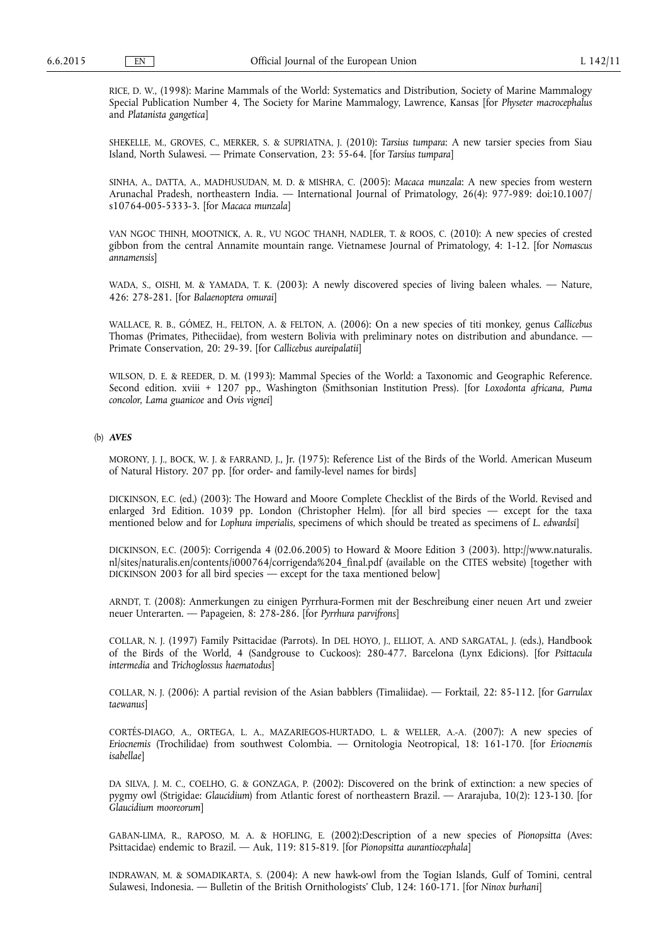RICE, D. W., (1998): Marine Mammals of the World: Systematics and Distribution, Society of Marine Mammalogy Special Publication Number 4, The Society for Marine Mammalogy, Lawrence, Kansas [for *Physeter macrocephalus*  and *Platanista gangetica*]

SHEKELLE, M., GROVES, C., MERKER, S. & SUPRIATNA, J. (2010): *Tarsius tumpara*: A new tarsier species from Siau Island, North Sulawesi. — Primate Conservation, 23: 55-64. [for *Tarsius tumpara*]

SINHA, A., DATTA, A., MADHUSUDAN, M. D. & MISHRA, C. (2005): *Macaca munzala*: A new species from western Arunachal Pradesh, northeastern India. — International Journal of Primatology, 26(4): 977-989: doi:10.1007/ s10764-005-5333-3. [for *Macaca munzala*]

VAN NGOC THINH, MOOTNICK, A. R., VU NGOC THANH, NADLER, T. & ROOS, C. (2010): A new species of crested gibbon from the central Annamite mountain range. Vietnamese Journal of Primatology, 4: 1-12. [for *Nomascus annamensis*]

WADA, S., OISHI, M. & YAMADA, T. K. (2003): A newly discovered species of living baleen whales. — Nature, 426: 278-281. [for *Balaenoptera omurai*]

WALLACE, R. B., GÓMEZ, H., FELTON, A. & FELTON, A. (2006): On a new species of titi monkey, genus *Callicebus*  Thomas (Primates, Pitheciidae), from western Bolivia with preliminary notes on distribution and abundance. — Primate Conservation, 20: 29-39. [for *Callicebus aureipalatii*]

WILSON, D. E. & REEDER, D. M. (1993): Mammal Species of the World: a Taxonomic and Geographic Reference. Second edition. xviii + 1207 pp., Washington (Smithsonian Institution Press). [for *Loxodonta africana, Puma concolor, Lama guanicoe* and *Ovis vignei*]

# (b) *AVES*

MORONY, J. J., BOCK, W. J. & FARRAND, J., Jr. (1975): Reference List of the Birds of the World. American Museum of Natural History. 207 pp. [for order- and family-level names for birds]

DICKINSON, E.C. (ed.) (2003): The Howard and Moore Complete Checklist of the Birds of the World. Revised and enlarged 3rd Edition. 1039 pp. London (Christopher Helm). [for all bird species — except for the taxa mentioned below and for *Lophura imperialis*, specimens of which should be treated as specimens of *L. edwardsi*]

DICKINSON, E.C. (2005): Corrigenda 4 (02.06.2005) to Howard & Moore Edition 3 (2003). [http://www.naturalis.](http://www.naturalis.nl/sites/naturalis.en/contents/i000764/corrigenda%204_final.pdf)  [nl/sites/naturalis.en/contents/i000764/corrigenda%204\\_final.pdf](http://www.naturalis.nl/sites/naturalis.en/contents/i000764/corrigenda%204_final.pdf) (available on the CITES website) [together with DICKINSON 2003 for all bird species — except for the taxa mentioned below]

ARNDT, T. (2008): Anmerkungen zu einigen Pyrrhura-Formen mit der Beschreibung einer neuen Art und zweier neuer Unterarten. — Papageien, 8: 278-286. [for *Pyrrhura parvifrons*]

COLLAR, N. J. (1997) Family Psittacidae (Parrots). In DEL HOYO, J., ELLIOT, A. AND SARGATAL, J. (eds.), Handbook of the Birds of the World, 4 (Sandgrouse to Cuckoos): 280-477. Barcelona (Lynx Edicions). [for *Psittacula intermedia* and *Trichoglossus haematodus*]

COLLAR, N. J. (2006): A partial revision of the Asian babblers (Timaliidae). — Forktail, 22: 85-112. [for *Garrulax taewanus*]

CORTÉS-DIAGO, A., ORTEGA, L. A., MAZARIEGOS-HURTADO, L. & WELLER, A.-A. (2007): A new species of *Eriocnemis* (Trochilidae) from southwest Colombia. — Ornitologia Neotropical, 18: 161-170. [for *Eriocnemis isabellae*]

DA SILVA, J. M. C., COELHO, G. & GONZAGA, P. (2002): Discovered on the brink of extinction: a new species of pygmy owl (Strigidae: *Glaucidium*) from Atlantic forest of northeastern Brazil. — Ararajuba, 10(2): 123-130. [for *Glaucidium mooreorum*]

GABAN-LIMA, R., RAPOSO, M. A. & HOFLING, E. (2002):Description of a new species of *Pionopsitta* (Aves: Psittacidae) endemic to Brazil. — Auk, 119: 815-819. [for *Pionopsitta aurantiocephala*]

INDRAWAN, M. & SOMADIKARTA, S. (2004): A new hawk-owl from the Togian Islands, Gulf of Tomini, central Sulawesi, Indonesia. — Bulletin of the British Ornithologists' Club, 124: 160-171. [for *Ninox burhani*]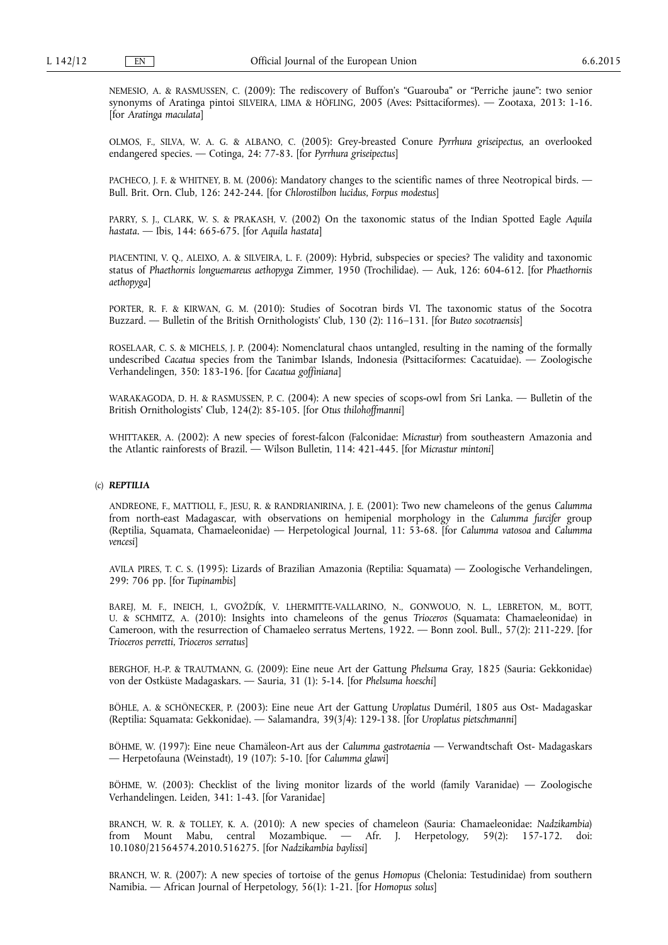NEMESIO, A. & RASMUSSEN, C. (2009): The rediscovery of Buffon's "Guarouba" or "Perriche jaune": two senior synonyms of Aratinga pintoi SILVEIRA, LIMA & HÖFLING, 2005 (Aves: Psittaciformes). — Zootaxa, 2013: 1-16. [for *Aratinga maculata*]

OLMOS, F., SILVA, W. A. G. & ALBANO, C. (2005): Grey-breasted Conure *Pyrrhura griseipectus*, an overlooked endangered species. — Cotinga, 24: 77-83. [for *Pyrrhura griseipectus*]

PACHECO, J. F. & WHITNEY, B. M. (2006): Mandatory changes to the scientific names of three Neotropical birds. — Bull. Brit. Orn. Club, 126: 242-244. [for *Chlorostilbon lucidus*, *Forpus modestus*]

PARRY, S. J., CLARK, W. S. & PRAKASH, V. (2002) On the taxonomic status of the Indian Spotted Eagle *Aquila hastata*. — Ibis, 144: 665-675. [for *Aquila hastata*]

PIACENTINI, V. Q., ALEIXO, A. & SILVEIRA, L. F. (2009): Hybrid, subspecies or species? The validity and taxonomic status of *Phaethornis longuemareus aethopyga* Zimmer, 1950 (Trochilidae). — Auk, 126: 604-612. [for *Phaethornis aethopyga*]

PORTER, R. F. & KIRWAN, G. M. (2010): Studies of Socotran birds VI. The taxonomic status of the Socotra Buzzard. — Bulletin of the British Ornithologists' Club, 130 (2): 116–131. [for *Buteo socotraensis*]

ROSELAAR, C. S. & MICHELS, J. P. (2004): Nomenclatural chaos untangled, resulting in the naming of the formally undescribed *Cacatua* species from the Tanimbar Islands, Indonesia (Psittaciformes: Cacatuidae). — Zoologische Verhandelingen, 350: 183-196. [for *Cacatua goffiniana*]

WARAKAGODA, D. H. & RASMUSSEN, P. C. (2004): A new species of scops-owl from Sri Lanka. — Bulletin of the British Ornithologists' Club, 124(2): 85-105. [for *Otus thilohoffmanni*]

WHITTAKER, A. (2002): A new species of forest-falcon (Falconidae: *Micrastur*) from southeastern Amazonia and the Atlantic rainforests of Brazil. — Wilson Bulletin, 114: 421-445. [for *Micrastur mintoni*]

## (c) *REPTILIA*

ANDREONE, F., MATTIOLI, F., JESU, R. & RANDRIANIRINA, J. E. (2001): Two new chameleons of the genus *Calumma*  from north-east Madagascar, with observations on hemipenial morphology in the *Calumma furcifer* group (Reptilia, Squamata, Chamaeleonidae) — Herpetological Journal, 11: 53-68. [for *Calumma vatosoa* and *Calumma vencesi*]

AVILA PIRES, T. C. S. (1995): Lizards of Brazilian Amazonia (Reptilia: Squamata) — Zoologische Verhandelingen, 299: 706 pp. [for *Tupinambis*]

BAREJ, M. F., INEICH, I., GVOŽDÍK, V. LHERMITTE-VALLARINO, N., GONWOUO, N. L., LEBRETON, M., BOTT, U. & SCHMITZ, A. (2010): Insights into chameleons of the genus *Trioceros* (Squamata: Chamaeleonidae) in Cameroon, with the resurrection of Chamaeleo serratus Mertens, 1922. — Bonn zool. Bull., 57(2): 211-229. [for *Trioceros perretti*, *Trioceros serratus*]

BERGHOF, H.-P. & TRAUTMANN, G. (2009): Eine neue Art der Gattung *Phelsuma* Gray, 1825 (Sauria: Gekkonidae) von der Ostküste Madagaskars. — Sauria, 31 (1): 5-14. [for *Phelsuma hoeschi*]

BÖHLE, A. & SCHÖNECKER, P. (2003): Eine neue Art der Gattung *Uroplatus* Duméril, 1805 aus Ost- Madagaskar (Reptilia: Squamata: Gekkonidae). — Salamandra, 39(3/4): 129-138. [for *Uroplatus pietschmanni*]

BÖHME, W. (1997): Eine neue Chamäleon-Art aus der *Calumma gastrotaenia* — Verwandtschaft Ost- Madagaskars — Herpetofauna (Weinstadt), 19 (107): 5-10. [for *Calumma glawi*]

BÖHME, W. (2003): Checklist of the living monitor lizards of the world (family Varanidae) — Zoologische Verhandelingen. Leiden, 341: 1-43. [for Varanidae]

BRANCH, W. R. & TOLLEY, K. A. (2010): A new species of chameleon (Sauria: Chamaeleonidae: *Nadzikambia*) from Mount Mabu, central Mozambique. — Afr. J. Herpetology, 59(2): 157-172. doi: 10.1080/21564574.2010.516275. [for *Nadzikambia baylissi*]

BRANCH, W. R. (2007): A new species of tortoise of the genus *Homopus* (Chelonia: Testudinidae) from southern Namibia. — African Journal of Herpetology, 56(1): 1-21. [for *Homopus solus*]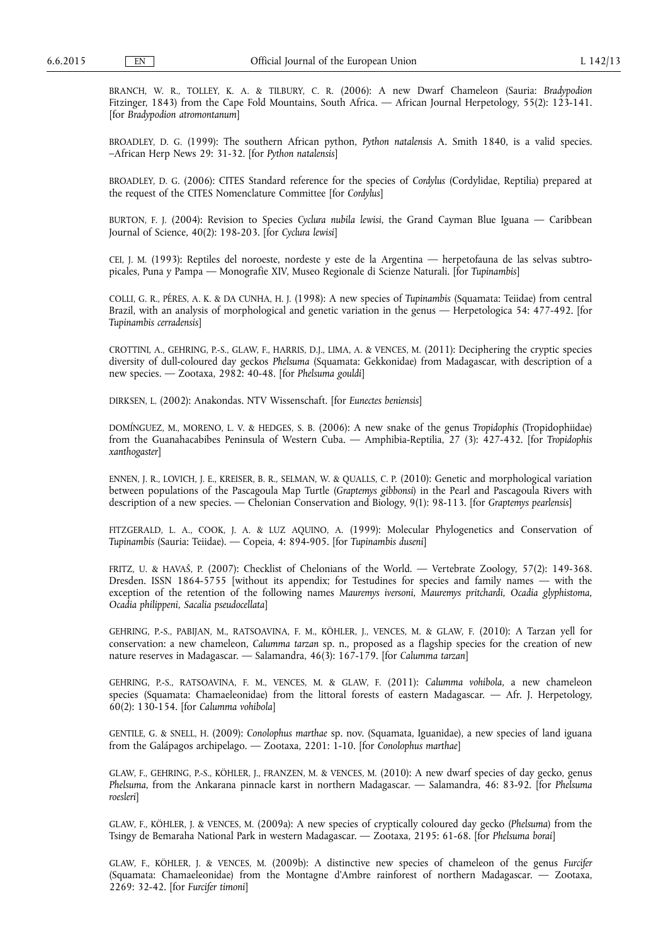BRANCH, W. R., TOLLEY, K. A. & TILBURY, C. R. (2006): A new Dwarf Chameleon (Sauria: *Bradypodion*  Fitzinger, 1843) from the Cape Fold Mountains, South Africa. — African Journal Herpetology, 55(2): 123-141. [for *Bradypodion atromontanum*]

BROADLEY, D. G. (1999): The southern African python, *Python natalensis* A. Smith 1840, is a valid species. –African Herp News 29: 31-32. [for *Python natalensis*]

BROADLEY, D. G. (2006): CITES Standard reference for the species of *Cordylus* (Cordylidae, Reptilia) prepared at the request of the CITES Nomenclature Committee [for *Cordylus*]

BURTON, F. J. (2004): Revision to Species *Cyclura nubila lewisi*, the Grand Cayman Blue Iguana — Caribbean Journal of Science, 40(2): 198-203. [for *Cyclura lewisi*]

CEI, J. M. (1993): Reptiles del noroeste, nordeste y este de la Argentina — herpetofauna de las selvas subtropicales, Puna y Pampa — Monografie XIV, Museo Regionale di Scienze Naturali. [for *Tupinambis*]

COLLI, G. R., PÉRES, A. K. & DA CUNHA, H. J. (1998): A new species of *Tupinambis* (Squamata: Teiidae) from central Brazil, with an analysis of morphological and genetic variation in the genus — Herpetologica 54: 477-492. [for *Tupinambis cerradensis*]

CROTTINI, A., GEHRING, P.-S., GLAW, F., HARRIS, D.J., LIMA, A. & VENCES, M. (2011): Deciphering the cryptic species diversity of dull-coloured day geckos *Phelsuma* (Squamata: Gekkonidae) from Madagascar, with description of a new species. — Zootaxa, 2982: 40-48. [for *Phelsuma gouldi*]

DIRKSEN, L. (2002): Anakondas. NTV Wissenschaft. [for *Eunectes beniensis*]

DOMÍNGUEZ, M., MORENO, L. V. & HEDGES, S. B. (2006): A new snake of the genus *Tropidophis* (Tropidophiidae) from the Guanahacabibes Peninsula of Western Cuba. — Amphibia-Reptilia, 27 (3): 427-432. [for *Tropidophis xanthogaster*]

ENNEN, J. R., LOVICH, J. E., KREISER, B. R., SELMAN, W. & QUALLS, C. P. (2010): Genetic and morphological variation between populations of the Pascagoula Map Turtle (*Graptemys gibbonsi*) in the Pearl and Pascagoula Rivers with description of a new species. — Chelonian Conservation and Biology, 9(1): 98-113. [for *Graptemys pearlensis*]

FITZGERALD, L. A., COOK, J. A. & LUZ AQUINO, A. (1999): Molecular Phylogenetics and Conservation of *Tupinambis* (Sauria: Teiidae). — Copeia, 4: 894-905. [for *Tupinambis duseni*]

FRITZ, U. & HAVAŠ, P. (2007): Checklist of Chelonians of the World. — Vertebrate Zoology, 57(2): 149-368. Dresden. ISSN 1864-5755 [without its appendix; for Testudines for species and family names — with the exception of the retention of the following names *Mauremys iversoni, Mauremys pritchardi, Ocadia glyphistoma, Ocadia philippeni, Sacalia pseudocellata*]

GEHRING, P.-S., PABIJAN, M., RATSOAVINA, F. M., KÖHLER, J., VENCES, M. & GLAW, F. (2010): A Tarzan yell for conservation: a new chameleon, *Calumma tarzan* sp. n., proposed as a flagship species for the creation of new nature reserves in Madagascar. — Salamandra, 46(3): 167-179. [for *Calumma tarzan*]

GEHRING, P.-S., RATSOAVINA, F. M., VENCES, M. & GLAW, F. (2011): *Calumma vohibola*, a new chameleon species (Squamata: Chamaeleonidae) from the littoral forests of eastern Madagascar. — Afr. J. Herpetology, 60(2): 130-154. [for *Calumma vohibola*]

GENTILE, G. & SNELL, H. (2009): *Conolophus marthae* sp. nov. (Squamata, Iguanidae), a new species of land iguana from the Galápagos archipelago. — Zootaxa, 2201: 1-10. [for *Conolophus marthae*]

GLAW, F., GEHRING, P.-S., KÖHLER, J., FRANZEN, M. & VENCES, M. (2010): A new dwarf species of day gecko, genus *Phelsuma*, from the Ankarana pinnacle karst in northern Madagascar. — Salamandra, 46: 83-92. [for *Phelsuma roesleri*]

GLAW, F., KÖHLER, J. & VENCES, M. (2009a): A new species of cryptically coloured day gecko (*Phelsuma*) from the Tsingy de Bemaraha National Park in western Madagascar. — Zootaxa, 2195: 61-68. [for *Phelsuma borai*]

GLAW, F., KÖHLER, J. & VENCES, M. (2009b): A distinctive new species of chameleon of the genus *Furcifer*  (Squamata: Chamaeleonidae) from the Montagne d'Ambre rainforest of northern Madagascar. — Zootaxa, 2269: 32-42. [for *Furcifer timoni*]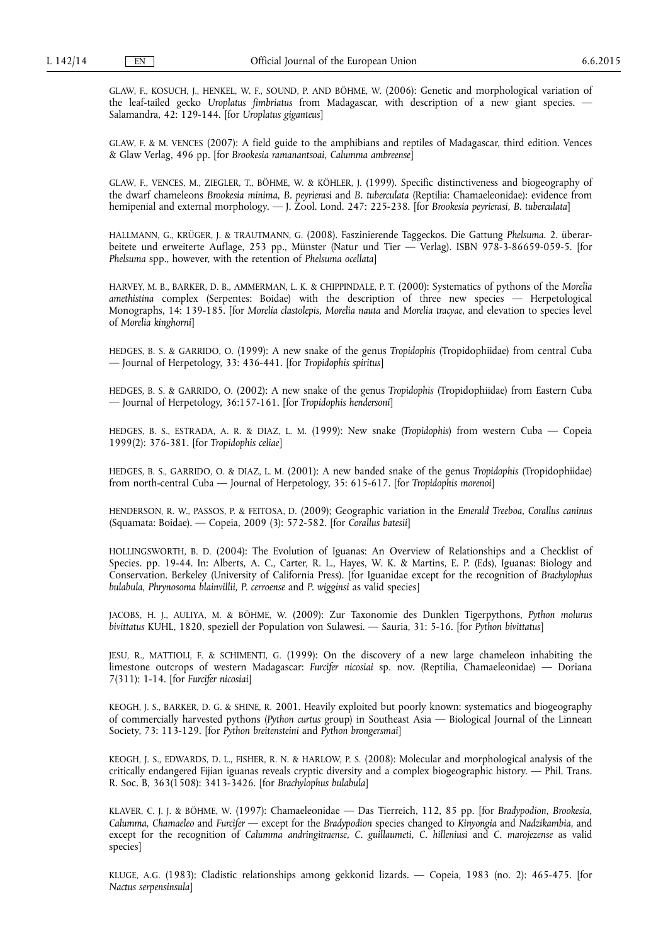GLAW, F., KOSUCH, J., HENKEL, W. F., SOUND, P. AND BÖHME, W. (2006): Genetic and morphological variation of the leaf-tailed gecko *Uroplatus fimbriatus* from Madagascar, with description of a new giant species. — Salamandra, 42: 129-144. [for *Uroplatus giganteus*]

GLAW, F. & M. VENCES (2007): A field guide to the amphibians and reptiles of Madagascar, third edition. Vences & Glaw Verlag, 496 pp. [for *Brookesia ramanantsoai, Calumma ambreense*]

GLAW, F., VENCES, M., ZIEGLER, T., BÖHME, W. & KÖHLER, J. (1999). Specific distinctiveness and biogeography of the dwarf chameleons *Brookesia minima, B. peyrierasi* and *B. tuberculata* (Reptilia: Chamaeleonidae): evidence from hemipenial and external morphology. — J. Zool. Lond. 247: 225-238. [for *Brookesia peyrierasi, B. tuberculata*]

HALLMANN, G., KRÜGER, J. & TRAUTMANN, G. (2008). Faszinierende Taggeckos. Die Gattung *Phelsuma*. 2. überarbeitete und erweiterte Auflage, 253 pp., Münster (Natur und Tier — Verlag). ISBN 978-3-86659-059-5. [for *Phelsuma* spp., however, with the retention of *Phelsuma ocellata*]

HARVEY, M. B., BARKER, D. B., AMMERMAN, L. K. & CHIPPINDALE, P. T. (2000): Systematics of pythons of the *Morelia amethistina* complex (Serpentes: Boidae) with the description of three new species — Herpetological Monographs, 14: 139-185. [for *Morelia clastolepis, Morelia nauta* and *Morelia tracyae*, and elevation to species level of *Morelia kinghorni*]

HEDGES, B. S. & GARRIDO, O. (1999): A new snake of the genus *Tropidophis* (Tropidophiidae) from central Cuba — Journal of Herpetology, 33: 436-441. [for *Tropidophis spiritus*]

HEDGES, B. S. & GARRIDO, O. (2002): A new snake of the genus *Tropidophis* (Tropidophiidae) from Eastern Cuba — Journal of Herpetology, 36:157-161. [for *Tropidophis hendersoni*]

HEDGES, B. S., ESTRADA, A. R. & DIAZ, L. M. (1999): New snake (*Tropidophis*) from western Cuba — Copeia 1999(2): 376-381. [for *Tropidophis celiae*]

HEDGES, B. S., GARRIDO, O. & DIAZ, L. M. (2001): A new banded snake of the genus *Tropidophis* (Tropidophiidae) from north-central Cuba — Journal of Herpetology, 35: 615-617. [for *Tropidophis morenoi*]

HENDERSON, R. W., PASSOS, P. & FEITOSA, D. (2009); Geographic variation in the *Emerald Treeboa, Corallus caninus*  (Squamata: Boidae). — Copeia, 2009 (3): 572-582. [for *Corallus batesii*]

HOLLINGSWORTH, B. D. (2004): The Evolution of Iguanas: An Overview of Relationships and a Checklist of Species. pp. 19-44. In: Alberts, A. C., Carter, R. L., Hayes, W. K. & Martins, E. P. (Eds), Iguanas: Biology and Conservation. Berkeley (University of California Press). [for Iguanidae except for the recognition of *Brachylophus bulabula, Phrynosoma blainvillii, P. cerroense* and *P. wigginsi* as valid species]

JACOBS, H. J., AULIYA, M. & BÖHME, W. (2009): Zur Taxonomie des Dunklen Tigerpythons, *Python molurus bivittatus* KUHL, 1820, speziell der Population von Sulawesi. — Sauria, 31: 5-16. [for *Python bivittatus*]

JESU, R., MATTIOLI, F. & SCHIMENTI, G. (1999): On the discovery of a new large chameleon inhabiting the limestone outcrops of western Madagascar: *Furcifer nicosiai* sp. nov. (Reptilia, Chamaeleonidae) — Doriana 7(311): 1-14. [for *Furcifer nicosiai*]

KEOGH, J. S., BARKER, D. G. & SHINE, R. 2001. Heavily exploited but poorly known: systematics and biogeography of commercially harvested pythons (*Python curtus* group) in Southeast Asia — Biological Journal of the Linnean Society, 73: 113-129. [for *Python breitensteini* and *Python brongersmai*]

KEOGH, J. S., EDWARDS, D. L., FISHER, R. N. & HARLOW, P. S. (2008): Molecular and morphological analysis of the critically endangered Fijian iguanas reveals cryptic diversity and a complex biogeographic history. — Phil. Trans. R. Soc. B, 363(1508): 3413-3426. [for *Brachylophus bulabula*]

KLAVER, C. J. J. & BÖHME, W. (1997): Chamaeleonidae — Das Tierreich, 112, 85 pp. [for *Bradypodion, Brookesia, Calumma, Chamaeleo* and *Furcifer* — except for the *Bradypodion* species changed to *Kinyongia* and *Nadzikambia*, and except for the recognition of *Calumma andringitraense, C. guillaumeti, C. hilleniusi* and *C. marojezense* as valid species]

KLUGE, A.G. (1983): Cladistic relationships among gekkonid lizards. — Copeia, 1983 (no. 2): 465-475. [for *Nactus serpensinsula*]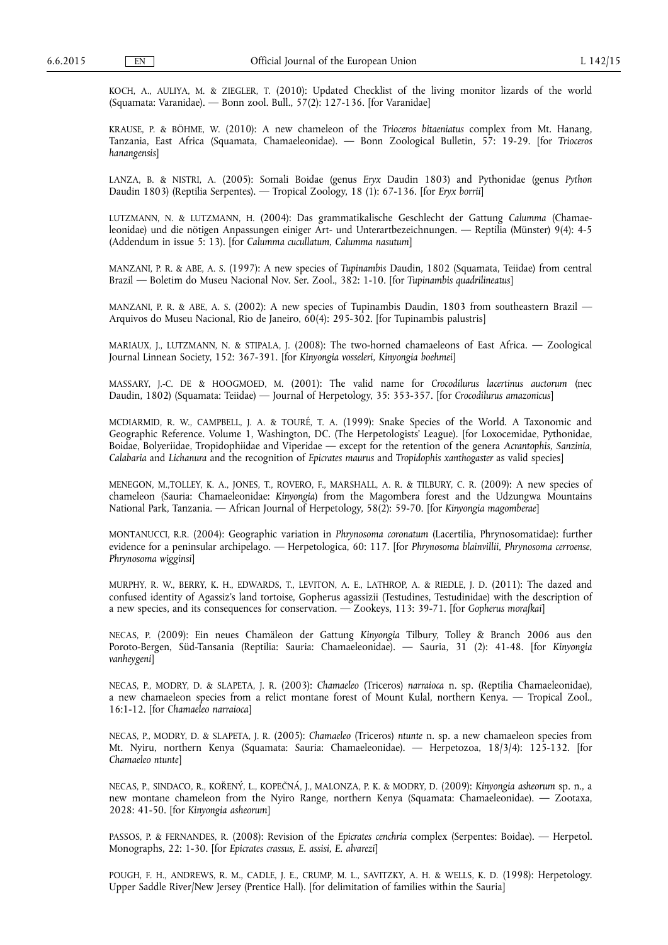KOCH, A., AULIYA, M. & ZIEGLER, T. (2010): Updated Checklist of the living monitor lizards of the world (Squamata: Varanidae). — Bonn zool. Bull., 57(2): 127-136. [for Varanidae]

KRAUSE, P. & BÖHME, W. (2010): A new chameleon of the *Trioceros bitaeniatus* complex from Mt. Hanang, Tanzania, East Africa (Squamata, Chamaeleonidae). — Bonn Zoological Bulletin, 57: 19-29. [for *Trioceros hanangensis*]

LANZA, B. & NISTRI, A. (2005): Somali Boidae (genus *Eryx* Daudin 1803) and Pythonidae (genus *Python*  Daudin 1803) (Reptilia Serpentes). — Tropical Zoology, 18 (1): 67-136. [for *Eryx borrii*]

LUTZMANN, N. & LUTZMANN, H. (2004): Das grammatikalische Geschlecht der Gattung *Calumma* (Chamaeleonidae) und die nötigen Anpassungen einiger Art- und Unterartbezeichnungen. — Reptilia (Münster) 9(4): 4-5 (Addendum in issue 5: 13). [for *Calumma cucullatum, Calumma nasutum*]

MANZANI, P. R. & ABE, A. S. (1997): A new species of *Tupinambis* Daudin, 1802 (Squamata, Teiidae) from central Brazil — Boletim do Museu Nacional Nov. Ser. Zool., 382: 1-10. [for *Tupinambis quadrilineatus*]

MANZANI, P. R. & ABE, A. S. (2002): A new species of Tupinambis Daudin, 1803 from southeastern Brazil — Arquivos do Museu Nacional, Rio de Janeiro,  $\frac{60}{4}$ : 295-302. [for Tupinambis palustris]

MARIAUX, J., LUTZMANN, N. & STIPALA, J. (2008): The two-horned chamaeleons of East Africa. — Zoological Journal Linnean Society, 152: 367-391. [for *Kinyongia vosseleri, Kinyongia boehmei*]

MASSARY, J.-C. DE & HOOGMOED, M. (2001): The valid name for *Crocodilurus lacertinus auctorum* (nec Daudin, 1802) (Squamata: Teiidae) — Journal of Herpetology, 35: 353-357. [for *Crocodilurus amazonicus*]

MCDIARMID, R. W., CAMPBELL, J. A. & TOURÉ, T. A. (1999): Snake Species of the World. A Taxonomic and Geographic Reference. Volume 1, Washington, DC. (The Herpetologists' League). [for Loxocemidae, Pythonidae, Boidae, Bolyeriidae, Tropidophiidae and Viperidae — except for the retention of the genera *Acrantophis, Sanzinia, Calabaria* and *Lichanura* and the recognition of *Epicrates maurus* and *Tropidophis xanthogaster* as valid species]

MENEGON, M.,TOLLEY, K. A., JONES, T., ROVERO, F., MARSHALL, A. R. & TILBURY, C. R. (2009): A new species of chameleon (Sauria: Chamaeleonidae: *Kinyongia*) from the Magombera forest and the Udzungwa Mountains National Park, Tanzania. — African Journal of Herpetology, 58(2): 59-70. [for *Kinyongia magomberae*]

MONTANUCCI, R.R. (2004): Geographic variation in *Phrynosoma coronatum* (Lacertilia, Phrynosomatidae): further evidence for a peninsular archipelago. — Herpetologica, 60: 117. [for *Phrynosoma blainvillii, Phrynosoma cerroense, Phrynosoma wigginsi*]

MURPHY, R. W., BERRY, K. H., EDWARDS, T., LEVITON, A. E., LATHROP, A. & RIEDLE, J. D. (2011): The dazed and confused identity of Agassiz's land tortoise, Gopherus agassizii (Testudines, Testudinidae) with the description of a new species, and its consequences for conservation. — Zookeys, 113: 39-71. [for *Gopherus morafkai*]

NECAS, P. (2009): Ein neues Chamäleon der Gattung *Kinyongia* Tilbury, Tolley & Branch 2006 aus den Poroto-Bergen, Süd-Tansania (Reptilia: Sauria: Chamaeleonidae). — Sauria, 31 (2): 41-48. [for *Kinyongia vanheygeni*]

NECAS, P., MODRY, D. & SLAPETA, J. R. (2003): *Chamaeleo* (Triceros) *narraioca* n. sp. (Reptilia Chamaeleonidae), a new chamaeleon species from a relict montane forest of Mount Kulal, northern Kenya. — Tropical Zool., 16:1-12. [for *Chamaeleo narraioca*]

NECAS, P., MODRY, D. & SLAPETA, J. R. (2005): *Chamaeleo* (Triceros) *ntunte* n. sp. a new chamaeleon species from Mt. Nyiru, northern Kenya (Squamata: Sauria: Chamaeleonidae). — Herpetozoa, 18/3/4): 125-132. [for *Chamaeleo ntunte*]

NECAS, P., SINDACO, R., KOŘENÝ, L., KOPEČNÁ, J., MALONZA, P. K. & MODRY, D. (2009): *Kinyongia asheorum* sp. n., a new montane chameleon from the Nyiro Range, northern Kenya (Squamata: Chamaeleonidae). — Zootaxa, 2028: 41-50. [for *Kinyongia asheorum*]

PASSOS, P. & FERNANDES, R. (2008): Revision of the *Epicrates cenchria* complex (Serpentes: Boidae). — Herpetol. Monographs, 22: 1-30. [for *Epicrates crassus, E. assisi, E. alvarezi*]

POUGH, F. H., ANDREWS, R. M., CADLE, J. E., CRUMP, M. L., SAVITZKY, A. H. & WELLS, K. D. (1998): Herpetology. Upper Saddle River/New Jersey (Prentice Hall). [for delimitation of families within the Sauria]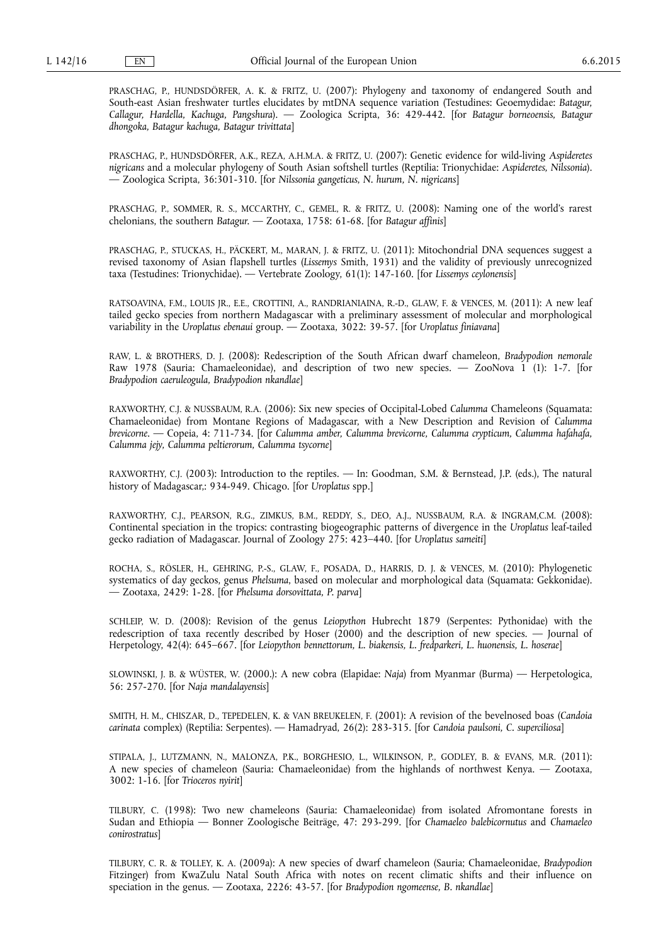PRASCHAG, P., HUNDSDÖRFER, A. K. & FRITZ, U. (2007): Phylogeny and taxonomy of endangered South and South-east Asian freshwater turtles elucidates by mtDNA sequence variation (Testudines: Geoemydidae: *Batagur, Callagur, Hardella, Kachuga, Pangshura*). — Zoologica Scripta, 36: 429-442. [for *Batagur borneoensis, Batagur dhongoka, Batagur kachuga, Batagur trivittata*]

PRASCHAG, P., HUNDSDÖRFER, A.K., REZA, A.H.M.A. & FRITZ, U. (2007): Genetic evidence for wild-living *Aspideretes nigricans* and a molecular phylogeny of South Asian softshell turtles (Reptilia: Trionychidae: *Aspideretes, Nilssonia*). — Zoologica Scripta, 36:301-310. [for *Nilssonia gangeticus*, *N. hurum, N. nigricans*]

PRASCHAG, P., SOMMER, R. S., MCCARTHY, C., GEMEL, R. & FRITZ, U. (2008): Naming one of the world's rarest chelonians, the southern *Batagur*. — Zootaxa, 1758: 61-68. [for *Batagur affinis*]

PRASCHAG, P., STUCKAS, H., PÄCKERT, M., MARAN, J. & FRITZ, U. (2011): Mitochondrial DNA sequences suggest a revised taxonomy of Asian flapshell turtles (*Lissemys* Smith, 1931) and the validity of previously unrecognized taxa (Testudines: Trionychidae). — Vertebrate Zoology, 61(1): 147-160. [for *Lissemys ceylonensis*]

RATSOAVINA, F.M., LOUIS JR., E.E., CROTTINI, A., RANDRIANIAINA, R.-D., GLAW, F. & VENCES, M. (2011): A new leaf tailed gecko species from northern Madagascar with a preliminary assessment of molecular and morphological variability in the *Uroplatus ebenaui* group. — Zootaxa, 3022: 39-57. [for *Uroplatus finiavana*]

RAW, L. & BROTHERS, D. J. (2008): Redescription of the South African dwarf chameleon, *Bradypodion nemorale*  Raw 1978 (Sauria: Chamaeleonidae), and description of two new species. — ZooNova 1 (1): 1-7. [for *Bradypodion caeruleogula, Bradypodion nkandlae*]

RAXWORTHY, C.J. & NUSSBAUM, R.A. (2006): Six new species of Occipital-Lobed *Calumma* Chameleons (Squamata: Chamaeleonidae) from Montane Regions of Madagascar, with a New Description and Revision of *Calumma brevicorne*. — Copeia, 4: 711-734. [for *Calumma amber, Calumma brevicorne, Calumma crypticum, Calumma hafahafa, Calumma jejy, Calumma peltierorum, Calumma tsycorne*]

RAXWORTHY, C.J. (2003): Introduction to the reptiles. — In: Goodman, S.M. & Bernstead, J.P. (eds.), The natural history of Madagascar,: 934-949. Chicago. [for *Uroplatus* spp.]

RAXWORTHY, C.J., PEARSON, R.G., ZIMKUS, B.M., REDDY, S., DEO, A.J., NUSSBAUM, R.A. & INGRAM,C.M. (2008): Continental speciation in the tropics: contrasting biogeographic patterns of divergence in the *Uroplatus* leaf-tailed gecko radiation of Madagascar. Journal of Zoology 275: 423–440. [for *Uroplatus sameiti*]

ROCHA, S., RÖSLER, H., GEHRING, P.-S., GLAW, F., POSADA, D., HARRIS, D. J. & VENCES, M. (2010): Phylogenetic systematics of day geckos, genus *Phelsuma*, based on molecular and morphological data (Squamata: Gekkonidae). — Zootaxa, 2429: 1-28. [for *Phelsuma dorsovittata, P. parva*]

SCHLEIP, W. D. (2008): Revision of the genus *Leiopython* Hubrecht 1879 (Serpentes: Pythonidae) with the redescription of taxa recently described by Hoser (2000) and the description of new species. — Journal of Herpetology, 42(4): 645–667. [for *Leiopython bennettorum, L. biakensis, L. fredparkeri, L. huonensis, L. hoserae*]

SLOWINSKI, J. B. & WÜSTER, W. (2000.): A new cobra (Elapidae: *Naja*) from Myanmar (Burma) — Herpetologica, 56: 257-270. [for *Naja mandalayensis*]

SMITH, H. M., CHISZAR, D., TEPEDELEN, K. & VAN BREUKELEN, F. (2001): A revision of the bevelnosed boas (*Candoia carinata* complex) (Reptilia: Serpentes). — Hamadryad, 26(2): 283-315. [for *Candoia paulsoni, C. superciliosa*]

STIPALA, J., LUTZMANN, N., MALONZA, P.K., BORGHESIO, L., WILKINSON, P., GODLEY, B. & EVANS, M.R. (2011): A new species of chameleon (Sauria: Chamaeleonidae) from the highlands of northwest Kenya. — Zootaxa, 3002: 1-16. [for *Trioceros nyirit*]

TILBURY, C. (1998): Two new chameleons (Sauria: Chamaeleonidae) from isolated Afromontane forests in Sudan and Ethiopia — Bonner Zoologische Beiträge, 47: 293-299. [for *Chamaeleo balebicornutus* and *Chamaeleo conirostratus*]

TILBURY, C. R. & TOLLEY, K. A. (2009a): A new species of dwarf chameleon (Sauria; Chamaeleonidae, *Bradypodion*  Fitzinger) from KwaZulu Natal South Africa with notes on recent climatic shifts and their influence on speciation in the genus. — Zootaxa, 2226: 43-57. [for *Bradypodion ngomeense, B. nkandlae*]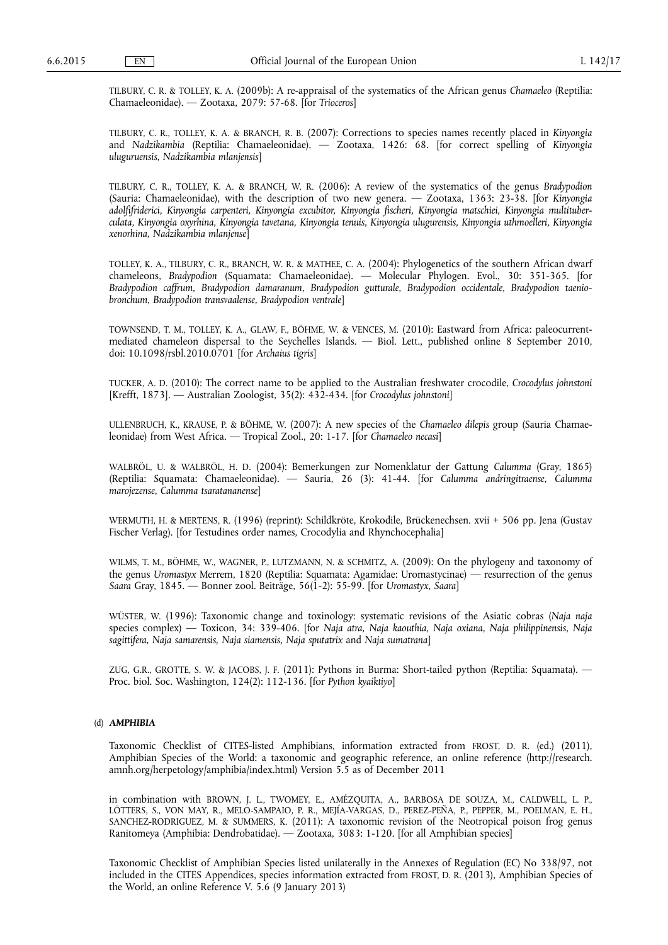TILBURY, C. R. & TOLLEY, K. A. (2009b): A re-appraisal of the systematics of the African genus *Chamaeleo* (Reptilia: Chamaeleonidae). — Zootaxa, 2079: 57-68. [for *Trioceros*]

TILBURY, C. R., TOLLEY, K. A. & BRANCH, R. B. (2007): Corrections to species names recently placed in *Kinyongia*  and *Nadzikambia* (Reptilia: Chamaeleonidae). — Zootaxa, 1426: 68. [for correct spelling of *Kinyongia uluguruensis, Nadzikambia mlanjensis*]

TILBURY, C. R., TOLLEY, K. A. & BRANCH, W. R. (2006): A review of the systematics of the genus *Bradypodion*  (Sauria: Chamaeleonidae), with the description of two new genera. — Zootaxa, 1363: 23-38. [for *Kinyongia adolfifriderici, Kinyongia carpenteri, Kinyongia excubitor, Kinyongia fischeri, Kinyongia matschiei, Kinyongia multituberculata, Kinyongia oxyrhina, Kinyongia tavetana, Kinyongia tenuis, Kinyongia ulugurensis, Kinyongia uthmoelleri, Kinyongia xenorhina, Nadzikambia mlanjense*]

TOLLEY, K. A., TILBURY, C. R., BRANCH, W. R. & MATHEE, C. A. (2004): Phylogenetics of the southern African dwarf chameleons, *Bradypodion* (Squamata: Chamaeleonidae). — Molecular Phylogen. Evol., 30: 351-365. [for *Bradypodion caffrum, Bradypodion damaranum, Bradypodion gutturale, Bradypodion occidentale, Bradypodion taeniobronchum, Bradypodion transvaalense, Bradypodion ventrale*]

TOWNSEND, T. M., TOLLEY, K. A., GLAW, F., BÖHME, W. & VENCES, M. (2010): Eastward from Africa: paleocurrentmediated chameleon dispersal to the Seychelles Islands. — Biol. Lett., published online 8 September 2010, doi: 10.1098/rsbl.2010.0701 [for *Archaius tigris*]

TUCKER, A. D. (2010): The correct name to be applied to the Australian freshwater crocodile, *Crocodylus johnstoni*  [Krefft, 1873]. — Australian Zoologist, 35(2): 432-434. [for *Crocodylus johnstoni*]

ULLENBRUCH, K., KRAUSE, P. & BÖHME, W. (2007): A new species of the *Chamaeleo dilepis* group (Sauria Chamaeleonidae) from West Africa. — Tropical Zool., 20: 1-17. [for *Chamaeleo necasi*]

WALBRÖL, U. & WALBRÖL, H. D. (2004): Bemerkungen zur Nomenklatur der Gattung *Calumma* (Gray, 1865) (Reptilia: Squamata: Chamaeleonidae). — Sauria, 26 (3): 41-44. [for *Calumma andringitraense, Calumma marojezense, Calumma tsaratananense*]

WERMUTH, H. & MERTENS, R. (1996) (reprint): Schildkröte, Krokodile, Brückenechsen. xvii + 506 pp. Jena (Gustav Fischer Verlag). [for Testudines order names, Crocodylia and Rhynchocephalia]

WILMS, T. M., BÖHME, W., WAGNER, P., LUTZMANN, N. & SCHMITZ, A. (2009): On the phylogeny and taxonomy of the genus *Uromastyx* Merrem, 1820 (Reptilia: Squamata: Agamidae: Uromastycinae) — resurrection of the genus *Saara* Gray, 1845. — Bonner zool. Beiträge, 56(1-2): 55-99. [for *Uromastyx, Saara*]

WÜSTER, W. (1996): Taxonomic change and toxinology: systematic revisions of the Asiatic cobras (*Naja naja*  species complex) — Toxicon, 34: 339-406. [for *Naja atra, Naja kaouthia, Naja oxiana, Naja philippinensis, Naja sagittifera, Naja samarensis, Naja siamensis, Naja sputatrix* and *Naja sumatrana*]

ZUG, G.R., GROTTE, S. W. & JACOBS, J. F. (2011): Pythons in Burma: Short-tailed python (Reptilia: Squamata). — Proc. biol. Soc. Washington, 124(2): 112-136. [for *Python kyaiktiyo*]

# (d) *AMPHIBIA*

Taxonomic Checklist of CITES-listed Amphibians, information extracted from FROST, D. R. (ed.) (2011), Amphibian Species of the World: a taxonomic and geographic reference, an online reference ([http://research.](http://research.amnh.org/herpetology/amphibia/index.html)  [amnh.org/herpetology/amphibia/index.html\)](http://research.amnh.org/herpetology/amphibia/index.html) Version 5.5 as of December 2011

in combination with BROWN, J. L., TWOMEY, E., AMÉZQUITA, A., BARBOSA DE SOUZA, M., CALDWELL, L. P., LÖTTERS, S., VON MAY, R., MELO-SAMPAIO, P. R., MEJÍA-VARGAS, D., PEREZ-PEÑA, P., PEPPER, M., POELMAN, E. H., SANCHEZ-RODRIGUEZ, M. & SUMMERS, K. (2011): A taxonomic revision of the Neotropical poison frog genus Ranitomeya (Amphibia: Dendrobatidae). — Zootaxa, 3083: 1-120. [for all Amphibian species]

Taxonomic Checklist of Amphibian Species listed unilaterally in the Annexes of Regulation (EC) No 338/97, not included in the CITES Appendices, species information extracted from FROST, D. R. (2013), Amphibian Species of the World, an online Reference V. 5.6 (9 January 2013)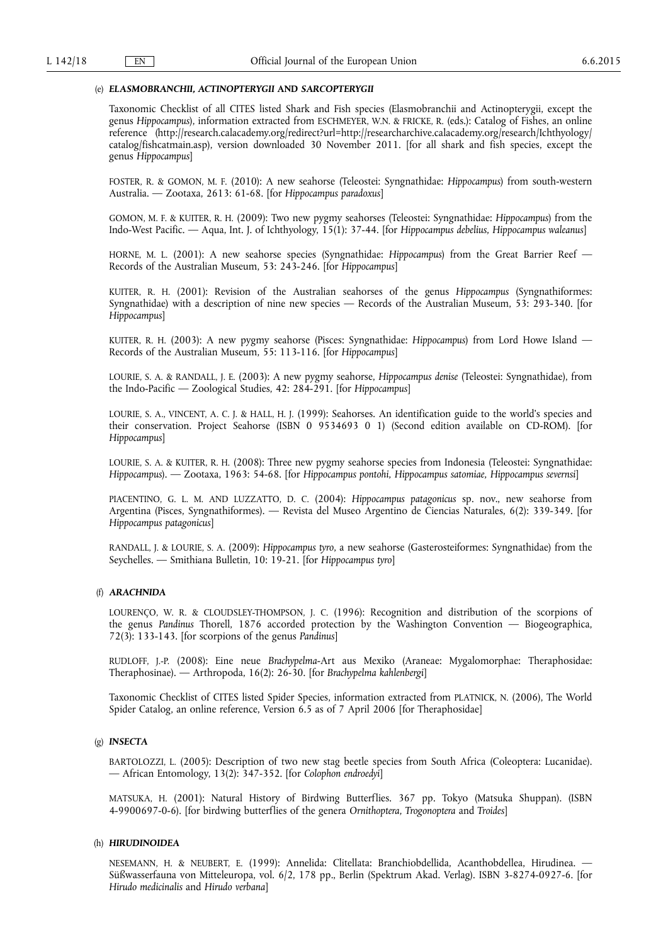## (e) *ELASMOBRANCHII, ACTINOPTERYGII* **AND** *SARCOPTERYGII*

Taxonomic Checklist of all CITES listed Shark and Fish species (Elasmobranchii and Actinopterygii, except the genus *Hippocampus*), information extracted from ESCHMEYER, W.N. & FRICKE, R. (eds.): Catalog of Fishes, an online reference ([http://research.calacademy.org/redirect?url=http://researcharchive.calacademy.org/research/Ichthyology/](http://research.calacademy.org/redirect?url=http://researcharchive.calacademy.org/research/Ichthyology/catalog/fishcatmain.asp)  [catalog/fishcatmain.asp\)](http://research.calacademy.org/redirect?url=http://researcharchive.calacademy.org/research/Ichthyology/catalog/fishcatmain.asp), version downloaded 30 November 2011. [for all shark and fish species, except the genus *Hippocampus*]

FOSTER, R. & GOMON, M. F. (2010): A new seahorse (Teleostei: Syngnathidae: *Hippocampus*) from south-western Australia. — Zootaxa, 2613: 61-68. [for *Hippocampus paradoxus*]

GOMON, M. F. & KUITER, R. H. (2009): Two new pygmy seahorses (Teleostei: Syngnathidae: *Hippocampus*) from the Indo-West Pacific. — Aqua, Int. J. of Ichthyology, 15(1): 37-44. [for *Hippocampus debelius, Hippocampus waleanus*]

HORNE, M. L. (2001): A new seahorse species (Syngnathidae: *Hippocampus*) from the Great Barrier Reef — Records of the Australian Museum, 53: 243-246. [for *Hippocampus*]

KUITER, R. H. (2001): Revision of the Australian seahorses of the genus *Hippocampus* (Syngnathiformes: Syngnathidae) with a description of nine new species — Records of the Australian Museum, 53: 293-340. [for *Hippocampus*]

KUITER, R. H. (2003): A new pygmy seahorse (Pisces: Syngnathidae: *Hippocampus*) from Lord Howe Island — Records of the Australian Museum, 55: 113-116. [for *Hippocampus*]

LOURIE, S. A. & RANDALL, J. E. (2003): A new pygmy seahorse, *Hippocampus denise* (Teleostei: Syngnathidae), from the Indo-Pacific — Zoological Studies, 42: 284-291. [for *Hippocampus*]

LOURIE, S. A., VINCENT, A. C. J. & HALL, H. J. (1999): Seahorses. An identification guide to the world's species and their conservation. Project Seahorse (ISBN 0 9534693 0 1) (Second edition available on CD-ROM). [for *Hippocampus*]

LOURIE, S. A. & KUITER, R. H. (2008): Three new pygmy seahorse species from Indonesia (Teleostei: Syngnathidae: *Hippocampus*). — Zootaxa, 1963: 54-68. [for *Hippocampus pontohi, Hippocampus satomiae, Hippocampus severnsi*]

PIACENTINO, G. L. M. AND LUZZATTO, D. C. (2004): *Hippocampus patagonicus* sp. nov., new seahorse from Argentina (Pisces, Syngnathiformes). — Revista del Museo Argentino de Ciencias Naturales, 6(2): 339-349. [for *Hippocampus patagonicus*]

RANDALL, J. & LOURIE, S. A. (2009): *Hippocampus tyro*, a new seahorse (Gasterosteiformes: Syngnathidae) from the Seychelles. — Smithiana Bulletin, 10: 19-21. [for *Hippocampus tyro*]

# (f) *ARACHNIDA*

LOURENÇO, W. R. & CLOUDSLEY-THOMPSON, J. C. (1996): Recognition and distribution of the scorpions of the genus *Pandinus* Thorell, 1876 accorded protection by the Washington Convention — Biogeographica, 72(3): 133-143. [for scorpions of the genus *Pandinus*]

RUDLOFF, J.-P. (2008): Eine neue *Brachypelma*-Art aus Mexiko (Araneae: Mygalomorphae: Theraphosidae: Theraphosinae). — Arthropoda, 16(2): 26-30. [for *Brachypelma kahlenbergi*]

Taxonomic Checklist of CITES listed Spider Species, information extracted from PLATNICK, N. (2006), The World Spider Catalog, an online reference, Version 6.5 as of 7 April 2006 [for Theraphosidae]

# (g) *INSECTA*

BARTOLOZZI, L. (2005): Description of two new stag beetle species from South Africa (Coleoptera: Lucanidae). — African Entomology, 13(2): 347-352. [for *Colophon endroedyi*]

MATSUKA, H. (2001): Natural History of Birdwing Butterflies. 367 pp. Tokyo (Matsuka Shuppan). (ISBN 4-9900697-0-6). [for birdwing butterflies of the genera *Ornithoptera, Trogonoptera* and *Troides*]

# (h) *HIRUDINOIDEA*

NESEMANN, H. & NEUBERT, E. (1999): Annelida: Clitellata: Branchiobdellida, Acanthobdellea, Hirudinea. — Süßwasserfauna von Mitteleuropa, vol. 6/2, 178 pp., Berlin (Spektrum Akad. Verlag). ISBN 3-8274-0927-6. [for *Hirudo medicinalis* and *Hirudo verbana*]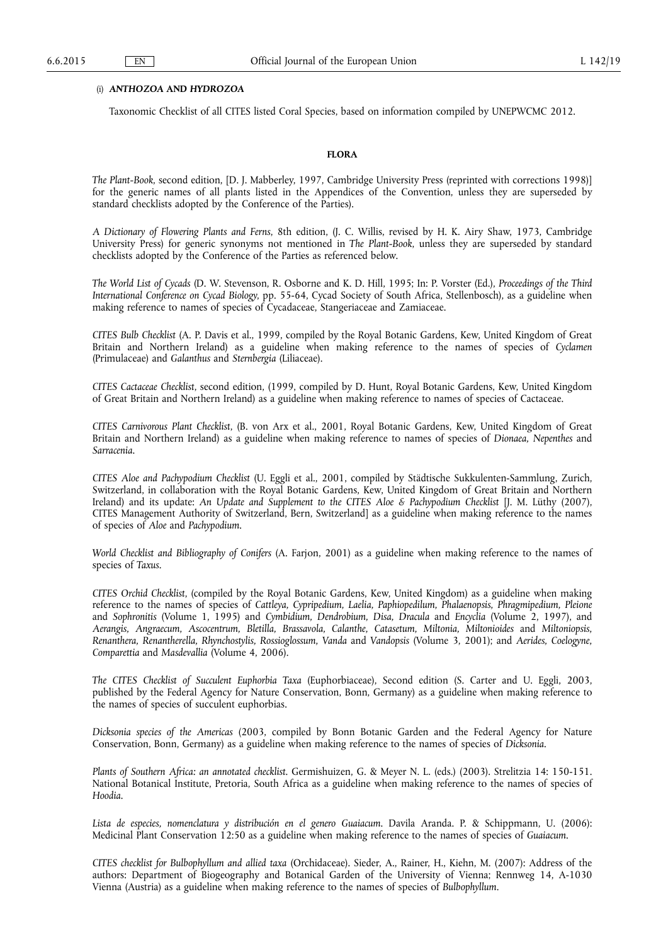# (i) *ANTHOZOA* **AND** *HYDROZOA*

Taxonomic Checklist of all CITES listed Coral Species, based on information compiled by UNEPWCMC 2012.

## **FLORA**

*The Plant-Book*, second edition, [D. J. Mabberley, 1997, Cambridge University Press (reprinted with corrections 1998)] for the generic names of all plants listed in the Appendices of the Convention, unless they are superseded by standard checklists adopted by the Conference of the Parties).

*A Dictionary of Flowering Plants and Ferns*, 8th edition, (J. C. Willis, revised by H. K. Airy Shaw, 1973, Cambridge University Press) for generic synonyms not mentioned in *The Plant-Book*, unless they are superseded by standard checklists adopted by the Conference of the Parties as referenced below.

*The World List of Cycads* (D. W. Stevenson, R. Osborne and K. D. Hill, 1995; In: P. Vorster (Ed.), *Proceedings of the Third International Conference on Cycad Biology*, pp. 55-64, Cycad Society of South Africa, Stellenbosch), as a guideline when making reference to names of species of Cycadaceae, Stangeriaceae and Zamiaceae.

*CITES Bulb Checklist* (A. P. Davis et al., 1999, compiled by the Royal Botanic Gardens, Kew, United Kingdom of Great Britain and Northern Ireland) as a guideline when making reference to the names of species of *Cyclamen*  (Primulaceae) and *Galanthus* and *Sternbergia* (Liliaceae).

*CITES Cactaceae Checklist*, second edition, (1999, compiled by D. Hunt, Royal Botanic Gardens, Kew, United Kingdom of Great Britain and Northern Ireland) as a guideline when making reference to names of species of Cactaceae.

*CITES Carnivorous Plant Checklist*, (B. von Arx et al., 2001, Royal Botanic Gardens, Kew, United Kingdom of Great Britain and Northern Ireland) as a guideline when making reference to names of species of *Dionaea, Nepenthes* and *Sarracenia*.

*CITES Aloe and Pachypodium Checklist* (U. Eggli et al., 2001, compiled by Städtische Sukkulenten-Sammlung, Zurich, Switzerland, in collaboration with the Royal Botanic Gardens, Kew, United Kingdom of Great Britain and Northern Ireland) and its update: *An Update and Supplement to the CITES Aloe & Pachypodium Checklist* [J. M. Lüthy (2007), CITES Management Authority of Switzerland, Bern, Switzerland] as a guideline when making reference to the names of species of *Aloe* and *Pachypodium*.

*World Checklist and Bibliography of Conifers* (A. Farjon, 2001) as a guideline when making reference to the names of species of *Taxus*.

*CITES Orchid Checklist*, (compiled by the Royal Botanic Gardens, Kew, United Kingdom) as a guideline when making reference to the names of species of *Cattleya, Cypripedium, Laelia, Paphiopedilum, Phalaenopsis, Phragmipedium, Pleione*  and *Sophronitis* (Volume 1, 1995) and *Cymbidium, Dendrobium, Disa, Dracula* and *Encyclia* (Volume 2, 1997), and *Aerangis, Angraecum, Ascocentrum, Bletilla, Brassavola, Calanthe, Catasetum, Miltonia, Miltonioides* and *Miltoniopsis, Renanthera, Renantherella, Rhynchostylis, Rossioglossum, Vanda* and *Vandopsis* (Volume 3, 2001); and *Aerides, Coelogyne, Comparettia* and *Masdevallia* (Volume 4, 2006).

*The CITES Checklist of Succulent Euphorbia Taxa* (Euphorbiaceae), Second edition (S. Carter and U. Eggli, 2003, published by the Federal Agency for Nature Conservation, Bonn, Germany) as a guideline when making reference to the names of species of succulent euphorbias.

*Dicksonia species of the Americas* (2003, compiled by Bonn Botanic Garden and the Federal Agency for Nature Conservation, Bonn, Germany) as a guideline when making reference to the names of species of *Dicksonia*.

*Plants of Southern Africa: an annotated checklist*. Germishuizen, G. & Meyer N. L. (eds.) (2003). Strelitzia 14: 150-151. National Botanical Institute, Pretoria, South Africa as a guideline when making reference to the names of species of *Hoodia*.

*Lista de especies, nomenclatura y distribución en el genero Guaiacum*. Davila Aranda. P. & Schippmann, U. (2006): Medicinal Plant Conservation 12:50 as a guideline when making reference to the names of species of *Guaiacum*.

*CITES checklist for Bulbophyllum and allied taxa* (Orchidaceae). Sieder, A., Rainer, H., Kiehn, M. (2007): Address of the authors: Department of Biogeography and Botanical Garden of the University of Vienna; Rennweg 14, A-1030 Vienna (Austria) as a guideline when making reference to the names of species of *Bulbophyllum*.